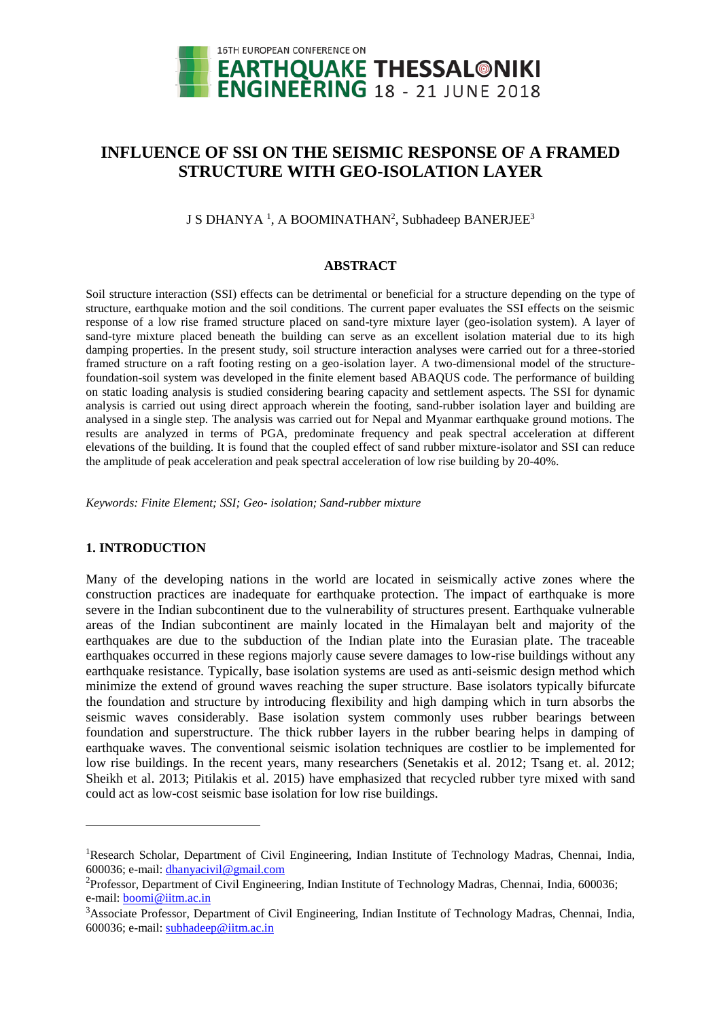

# **INFLUENCE OF SSI ON THE SEISMIC RESPONSE OF A FRAMED STRUCTURE WITH GEO-ISOLATION LAYER**

# J S DHANYA<sup>1</sup>, A BOOMINATHAN<sup>2</sup>, Subhadeep BANERJEE<sup>3</sup>

#### **ABSTRACT**

Soil structure interaction (SSI) effects can be detrimental or beneficial for a structure depending on the type of structure, earthquake motion and the soil conditions. The current paper evaluates the SSI effects on the seismic response of a low rise framed structure placed on sand-tyre mixture layer (geo-isolation system). A layer of sand-tyre mixture placed beneath the building can serve as an excellent isolation material due to its high damping properties. In the present study, soil structure interaction analyses were carried out for a three-storied framed structure on a raft footing resting on a geo-isolation layer. A two-dimensional model of the structurefoundation-soil system was developed in the finite element based ABAQUS code. The performance of building on static loading analysis is studied considering bearing capacity and settlement aspects. The SSI for dynamic analysis is carried out using direct approach wherein the footing, sand-rubber isolation layer and building are analysed in a single step. The analysis was carried out for Nepal and Myanmar earthquake ground motions. The results are analyzed in terms of PGA, predominate frequency and peak spectral acceleration at different elevations of the building. It is found that the coupled effect of sand rubber mixture-isolator and SSI can reduce the amplitude of peak acceleration and peak spectral acceleration of low rise building by 20-40%.

*Keywords: Finite Element; SSI; Geo- isolation; Sand-rubber mixture*

# **1. INTRODUCTION**

l

Many of the developing nations in the world are located in seismically active zones where the construction practices are inadequate for earthquake protection. The impact of earthquake is more severe in the Indian subcontinent due to the vulnerability of structures present. Earthquake vulnerable areas of the Indian subcontinent are mainly located in the Himalayan belt and majority of the earthquakes are due to the subduction of the Indian plate into the Eurasian plate. The traceable earthquakes occurred in these regions majorly cause severe damages to low-rise buildings without any earthquake resistance. Typically, base isolation systems are used as anti-seismic design method which minimize the extend of ground waves reaching the super structure. Base isolators typically bifurcate the foundation and structure by introducing flexibility and high damping which in turn absorbs the seismic waves considerably. Base isolation system commonly uses rubber bearings between foundation and superstructure. The thick rubber layers in the rubber bearing helps in damping of earthquake waves. The conventional seismic isolation techniques are costlier to be implemented for low rise buildings. In the recent years, many researchers (Senetakis et al. 2012; Tsang et. al. 2012; Sheikh et al. 2013; Pitilakis et al. 2015) have emphasized that recycled rubber tyre mixed with sand could act as low-cost seismic base isolation for low rise buildings.

<sup>&</sup>lt;sup>1</sup>Research Scholar, Department of Civil Engineering, Indian Institute of Technology Madras, Chennai, India, 600036; e-mail: [dhanyacivil@gmail.com](mailto:dhanyacivil@gmail.com)

<sup>2</sup>Professor, Department of Civil Engineering, Indian Institute of Technology Madras, Chennai, India, 600036; e-mail[: boomi@iitm.ac.in](mailto:boomi@iitm.ac.in)

<sup>3</sup>Associate Professor, Department of Civil Engineering, Indian Institute of Technology Madras, Chennai, India, 600036; e-mail: [subhadeep@iitm.ac.in](mailto:subhadeep@iitm.ac.in)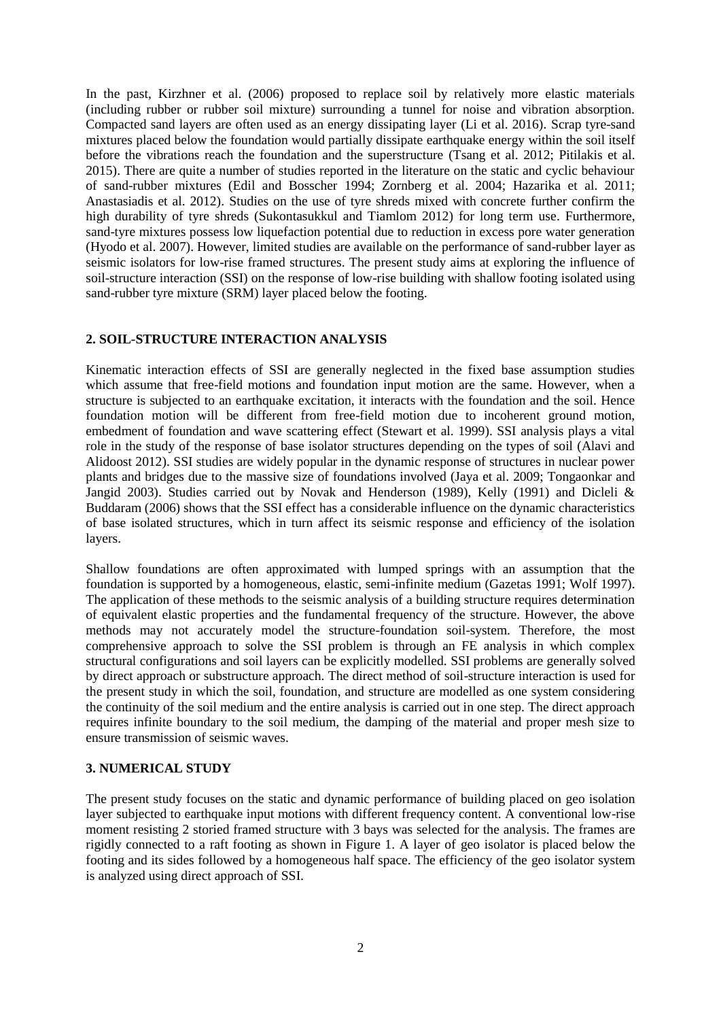In the past, Kirzhner et al. (2006) proposed to replace soil by relatively more elastic materials (including rubber or rubber soil mixture) surrounding a tunnel for noise and vibration absorption. Compacted sand layers are often used as an energy dissipating layer (Li et al. 2016). Scrap tyre-sand mixtures placed below the foundation would partially dissipate earthquake energy within the soil itself before the vibrations reach the foundation and the superstructure (Tsang et al. 2012; Pitilakis et al. 2015). There are quite a number of studies reported in the literature on the static and cyclic behaviour of sand-rubber mixtures (Edil and Bosscher 1994; Zornberg et al. 2004; Hazarika et al. 2011; Anastasiadis et al. 2012). Studies on the use of tyre shreds mixed with concrete further confirm the high durability of tyre shreds (Sukontasukkul and Tiamlom 2012) for long term use. Furthermore, sand-tyre mixtures possess low liquefaction potential due to reduction in excess pore water generation (Hyodo et al. 2007). However, limited studies are available on the performance of sand-rubber layer as seismic isolators for low-rise framed structures. The present study aims at exploring the influence of soil-structure interaction (SSI) on the response of low-rise building with shallow footing isolated using sand-rubber tyre mixture (SRM) layer placed below the footing.

# **2. SOIL-STRUCTURE INTERACTION ANALYSIS**

Kinematic interaction effects of SSI are generally neglected in the fixed base assumption studies which assume that free-field motions and foundation input motion are the same. However, when a structure is subjected to an earthquake excitation, it interacts with the foundation and the soil. Hence foundation motion will be different from free-field motion due to incoherent ground motion, embedment of foundation and wave scattering effect (Stewart et al. 1999). SSI analysis plays a vital role in the study of the response of base isolator structures depending on the types of soil (Alavi and Alidoost 2012). SSI studies are widely popular in the dynamic response of structures in nuclear power plants and bridges due to the massive size of foundations involved (Jaya et al. 2009; Tongaonkar and Jangid 2003). Studies carried out by Novak and Henderson (1989), Kelly (1991) and Dicleli & Buddaram (2006) shows that the SSI effect has a considerable influence on the dynamic characteristics of base isolated structures, which in turn affect its seismic response and efficiency of the isolation layers.

Shallow foundations are often approximated with lumped springs with an assumption that the foundation is supported by a homogeneous, elastic, semi-infinite medium (Gazetas 1991; Wolf 1997). The application of these methods to the seismic analysis of a building structure requires determination of equivalent elastic properties and the fundamental frequency of the structure. However, the above methods may not accurately model the structure-foundation soil-system. Therefore, the most comprehensive approach to solve the SSI problem is through an FE analysis in which complex structural configurations and soil layers can be explicitly modelled. SSI problems are generally solved by direct approach or substructure approach. The direct method of soil-structure interaction is used for the present study in which the soil, foundation, and structure are modelled as one system considering the continuity of the soil medium and the entire analysis is carried out in one step. The direct approach requires infinite boundary to the soil medium, the damping of the material and proper mesh size to ensure transmission of seismic waves.

# **3. NUMERICAL STUDY**

The present study focuses on the static and dynamic performance of building placed on geo isolation layer subjected to earthquake input motions with different frequency content. A conventional low-rise moment resisting 2 storied framed structure with 3 bays was selected for the analysis. The frames are rigidly connected to a raft footing as shown in Figure 1. A layer of geo isolator is placed below the footing and its sides followed by a homogeneous half space. The efficiency of the geo isolator system is analyzed using direct approach of SSI.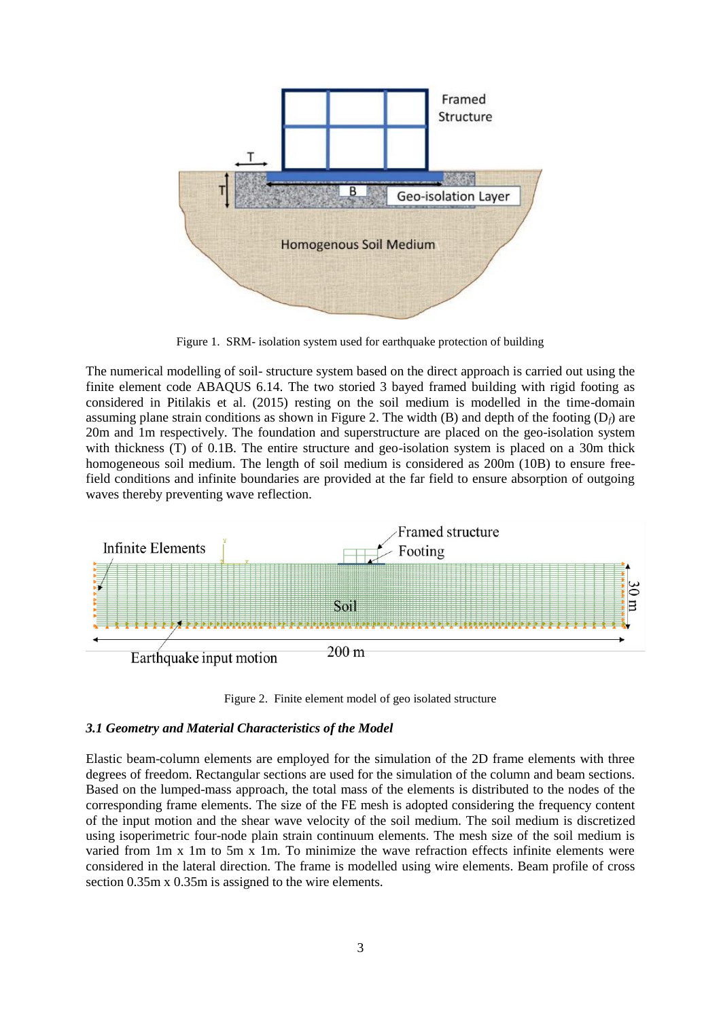

Figure 1. SRM- isolation system used for earthquake protection of building

The numerical modelling of soil- structure system based on the direct approach is carried out using the finite element code ABAQUS 6.14. The two storied 3 bayed framed building with rigid footing as considered in Pitilakis et al. (2015) resting on the soil medium is modelled in the time-domain assuming plane strain conditions as shown in Figure 2. The width (B) and depth of the footing  $(D_f)$  are 20m and 1m respectively. The foundation and superstructure are placed on the geo-isolation system with thickness (T) of 0.1B. The entire structure and geo-isolation system is placed on a 30m thick homogeneous soil medium. The length of soil medium is considered as 200m (10B) to ensure freefield conditions and infinite boundaries are provided at the far field to ensure absorption of outgoing waves thereby preventing wave reflection.



Figure 2. Finite element model of geo isolated structure

# *3.1 Geometry and Material Characteristics of the Model*

Elastic beam-column elements are employed for the simulation of the 2D frame elements with three degrees of freedom. Rectangular sections are used for the simulation of the column and beam sections. Based on the lumped-mass approach, the total mass of the elements is distributed to the nodes of the corresponding frame elements. The size of the FE mesh is adopted considering the frequency content of the input motion and the shear wave velocity of the soil medium. The soil medium is discretized using isoperimetric four-node plain strain continuum elements. The mesh size of the soil medium is varied from 1m x 1m to 5m x 1m. To minimize the wave refraction effects infinite elements were considered in the lateral direction. The frame is modelled using wire elements. Beam profile of cross section 0.35m x 0.35m is assigned to the wire elements.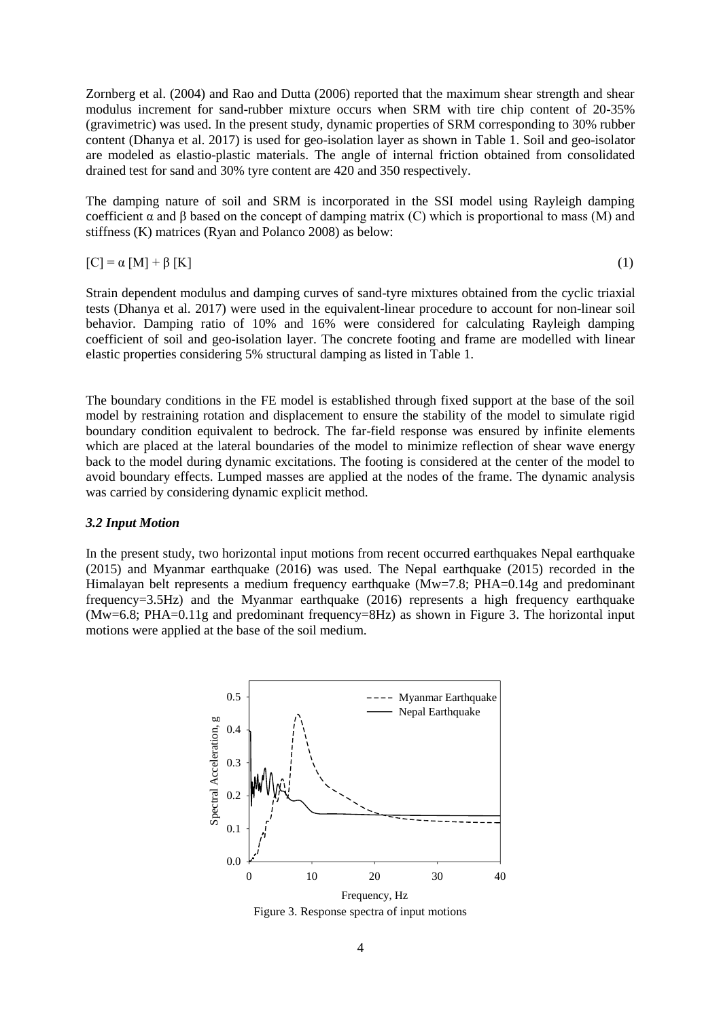Zornberg et al. (2004) and Rao and Dutta (2006) reported that the maximum shear strength and shear modulus increment for sand-rubber mixture occurs when SRM with tire chip content of 20-35% (gravimetric) was used. In the present study, dynamic properties of SRM corresponding to 30% rubber content (Dhanya et al. 2017) is used for geo-isolation layer as shown in Table 1. Soil and geo-isolator are modeled as elastio-plastic materials. The angle of internal friction obtained from consolidated drained test for sand and 30% tyre content are 420 and 350 respectively.

The damping nature of soil and SRM is incorporated in the SSI model using Rayleigh damping coefficient α and β based on the concept of damping matrix (C) which is proportional to mass (M) and stiffness (K) matrices (Ryan and Polanco 2008) as below:

$$
[C] = \alpha [M] + \beta [K] \tag{1}
$$

Strain dependent modulus and damping curves of sand-tyre mixtures obtained from the cyclic triaxial tests (Dhanya et al. 2017) were used in the equivalent-linear procedure to account for non-linear soil behavior. Damping ratio of 10% and 16% were considered for calculating Rayleigh damping coefficient of soil and geo-isolation layer. The concrete footing and frame are modelled with linear elastic properties considering 5% structural damping as listed in Table 1.

The boundary conditions in the FE model is established through fixed support at the base of the soil model by restraining rotation and displacement to ensure the stability of the model to simulate rigid boundary condition equivalent to bedrock. The far-field response was ensured by infinite elements which are placed at the lateral boundaries of the model to minimize reflection of shear wave energy back to the model during dynamic excitations. The footing is considered at the center of the model to avoid boundary effects. Lumped masses are applied at the nodes of the frame. The dynamic analysis was carried by considering dynamic explicit method.

#### *3.2 Input Motion*

In the present study, two horizontal input motions from recent occurred earthquakes Nepal earthquake (2015) and Myanmar earthquake (2016) was used. The Nepal earthquake (2015) recorded in the Himalayan belt represents a medium frequency earthquake (Mw=7.8; PHA=0.14g and predominant frequency=3.5Hz) and the Myanmar earthquake (2016) represents a high frequency earthquake (Mw=6.8; PHA=0.11g and predominant frequency=8Hz) as shown in Figure 3. The horizontal input motions were applied at the base of the soil medium.



Figure 3. Response spectra of input motions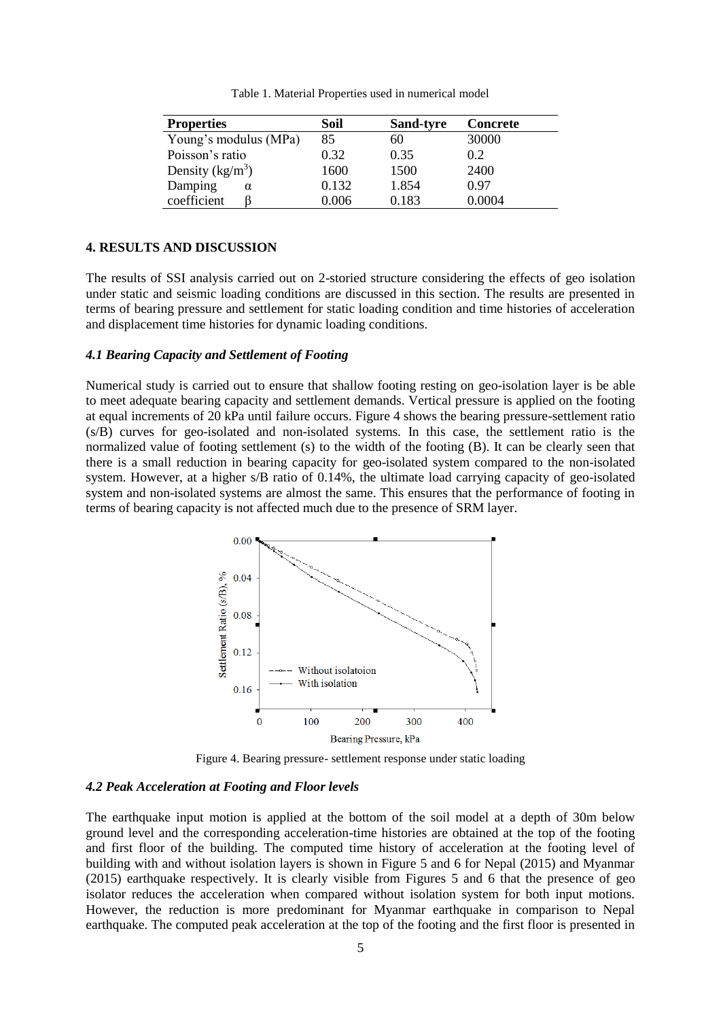| <b>Properties</b>     | Soil  | Sand-tyre | <b>Concrete</b> |
|-----------------------|-------|-----------|-----------------|
| Young's modulus (MPa) | 85    | 60        | 30000           |
| Poisson's ratio       | 0.32  | 0.35      | 0.2             |
| Density $(kg/m^3)$    | 1600  | 1500      | 2400            |
| Damping<br>α          | 0.132 | 1.854     | 0.97            |
| coefficient           | 0.006 | 0.183     | 0.0004          |

Table 1. Material Properties used in numerical model

# **4. RESULTS AND DISCUSSION**

The results of SSI analysis carried out on 2-storied structure considering the effects of geo isolation under static and seismic loading conditions are discussed in this section. The results are presented in terms of bearing pressure and settlement for static loading condition and time histories of acceleration and displacement time histories for dynamic loading conditions.

## *4.1 Bearing Capacity and Settlement of Footing*

Numerical study is carried out to ensure that shallow footing resting on geo-isolation layer is be able to meet adequate bearing capacity and settlement demands. Vertical pressure is applied on the footing at equal increments of 20 kPa until failure occurs. Figure 4 shows the bearing pressure-settlement ratio (s/B) curves for geo-isolated and non-isolated systems. In this case, the settlement ratio is the normalized value of footing settlement (s) to the width of the footing (B). It can be clearly seen that there is a small reduction in bearing capacity for geo-isolated system compared to the non-isolated system. However, at a higher s/B ratio of 0.14%, the ultimate load carrying capacity of geo-isolated system and non-isolated systems are almost the same. This ensures that the performance of footing in terms of bearing capacity is not affected much due to the presence of SRM layer.



Figure 4. Bearing pressure- settlement response under static loading

#### *4.2 Peak Acceleration at Footing and Floor levels*

The earthquake input motion is applied at the bottom of the soil model at a depth of 30m below ground level and the corresponding acceleration-time histories are obtained at the top of the footing and first floor of the building. The computed time history of acceleration at the footing level of building with and without isolation layers is shown in Figure 5 and 6 for Nepal (2015) and Myanmar (2015) earthquake respectively. It is clearly visible from Figures 5 and 6 that the presence of geo isolator reduces the acceleration when compared without isolation system for both input motions. However, the reduction is more predominant for Myanmar earthquake in comparison to Nepal earthquake. The computed peak acceleration at the top of the footing and the first floor is presented in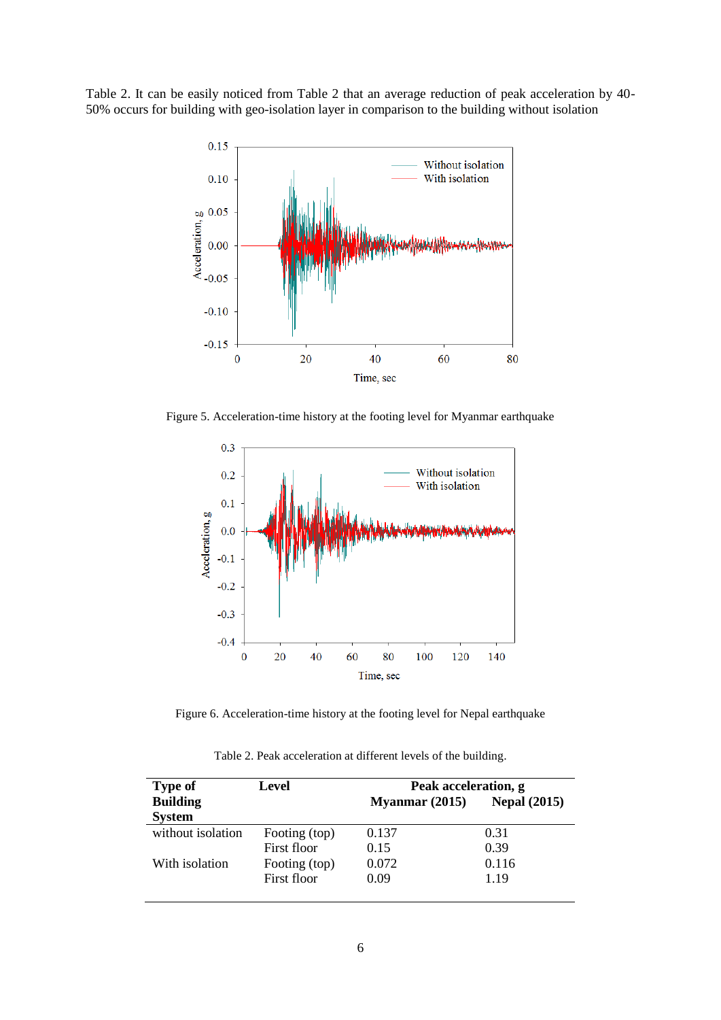Table 2. It can be easily noticed from Table 2 that an average reduction of peak acceleration by 40- 50% occurs for building with geo-isolation layer in comparison to the building without isolation



Figure 5. Acceleration-time history at the footing level for Myanmar earthquake



Figure 6. Acceleration-time history at the footing level for Nepal earthquake

| <b>Type of</b>                   | <b>Level</b>  | Peak acceleration, g |                     |
|----------------------------------|---------------|----------------------|---------------------|
| <b>Building</b><br><b>System</b> |               | Myanmar $(2015)$     | <b>Nepal (2015)</b> |
| without isolation                | Footing (top) | 0.137                | 0.31                |
|                                  | First floor   | 0.15                 | 0.39                |
| With isolation                   | Footing (top) | 0.072                | 0.116               |
|                                  | First floor   | 0.09                 | 1.19                |

Table 2. Peak acceleration at different levels of the building.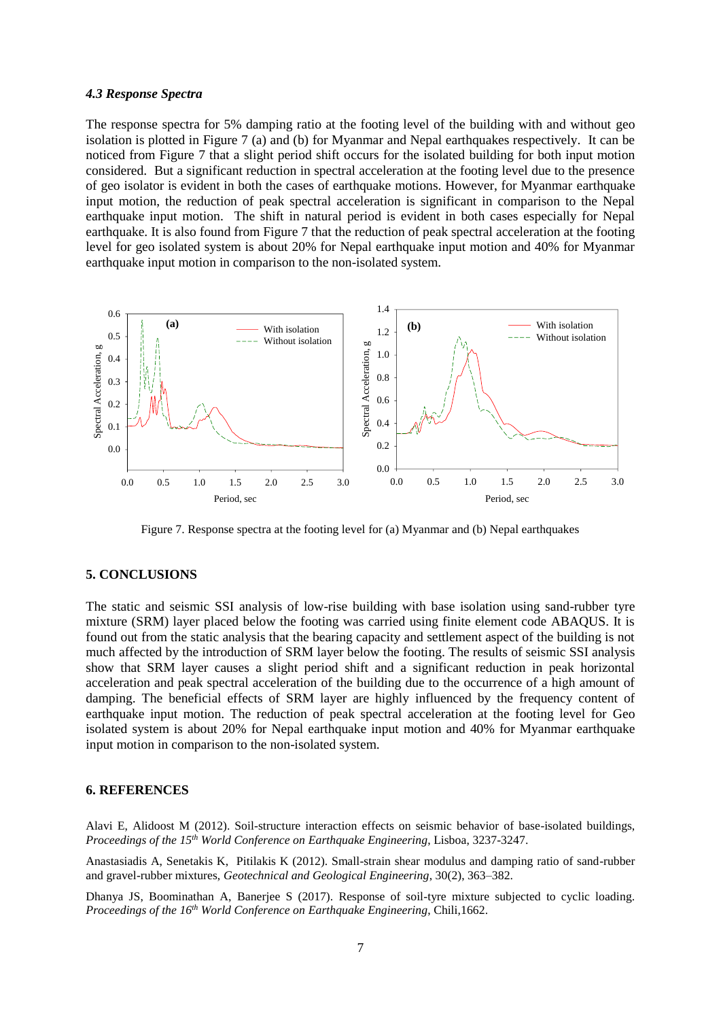#### *4.3 Response Spectra*

The response spectra for 5% damping ratio at the footing level of the building with and without geo isolation is plotted in Figure 7 (a) and (b) for Myanmar and Nepal earthquakes respectively. It can be noticed from Figure 7 that a slight period shift occurs for the isolated building for both input motion considered. But a significant reduction in spectral acceleration at the footing level due to the presence of geo isolator is evident in both the cases of earthquake motions. However, for Myanmar earthquake input motion, the reduction of peak spectral acceleration is significant in comparison to the Nepal earthquake input motion. The shift in natural period is evident in both cases especially for Nepal earthquake. It is also found from Figure 7 that the reduction of peak spectral acceleration at the footing level for geo isolated system is about 20% for Nepal earthquake input motion and 40% for Myanmar earthquake input motion in comparison to the non-isolated system.



Figure 7. Response spectra at the footing level for (a) Myanmar and (b) Nepal earthquakes

#### **5. CONCLUSIONS**

The static and seismic SSI analysis of low-rise building with base isolation using sand-rubber tyre mixture (SRM) layer placed below the footing was carried using finite element code ABAQUS. It is found out from the static analysis that the bearing capacity and settlement aspect of the building is not much affected by the introduction of SRM layer below the footing. The results of seismic SSI analysis show that SRM layer causes a slight period shift and a significant reduction in peak horizontal acceleration and peak spectral acceleration of the building due to the occurrence of a high amount of damping. The beneficial effects of SRM layer are highly influenced by the frequency content of earthquake input motion. The reduction of peak spectral acceleration at the footing level for Geo isolated system is about 20% for Nepal earthquake input motion and 40% for Myanmar earthquake input motion in comparison to the non-isolated system.

## **6. REFERENCES**

Alavi E, Alidoost M (2012). Soil-structure interaction effects on seismic behavior of base-isolated buildings, *Proceedings of the 15th World Conference on Earthquake Engineering*, Lisboa, 3237-3247.

Anastasiadis A, Senetakis K, Pitilakis K (2012). Small-strain shear modulus and damping ratio of sand-rubber and gravel-rubber mixtures, *Geotechnical and Geological Engineering*, 30(2), 363–382.

Dhanya JS, Boominathan A, Banerjee S (2017). Response of soil-tyre mixture subjected to cyclic loading. *Proceedings of the 16 th World Conference on Earthquake Engineering*, Chili,1662.